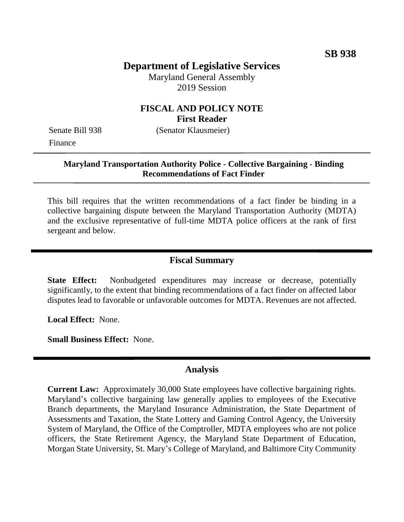# **Department of Legislative Services**

Maryland General Assembly 2019 Session

# **FISCAL AND POLICY NOTE First Reader**

Finance

Senate Bill 938 (Senator Klausmeier)

#### **Maryland Transportation Authority Police - Collective Bargaining - Binding Recommendations of Fact Finder**

This bill requires that the written recommendations of a fact finder be binding in a collective bargaining dispute between the Maryland Transportation Authority (MDTA) and the exclusive representative of full-time MDTA police officers at the rank of first sergeant and below.

### **Fiscal Summary**

**State Effect:** Nonbudgeted expenditures may increase or decrease, potentially significantly, to the extent that binding recommendations of a fact finder on affected labor disputes lead to favorable or unfavorable outcomes for MDTA. Revenues are not affected.

**Local Effect:** None.

**Small Business Effect:** None.

#### **Analysis**

**Current Law:** Approximately 30,000 State employees have collective bargaining rights. Maryland's collective bargaining law generally applies to employees of the Executive Branch departments, the Maryland Insurance Administration, the State Department of Assessments and Taxation, the State Lottery and Gaming Control Agency, the University System of Maryland, the Office of the Comptroller, MDTA employees who are not police officers, the State Retirement Agency, the Maryland State Department of Education, Morgan State University, St. Mary's College of Maryland, and Baltimore City Community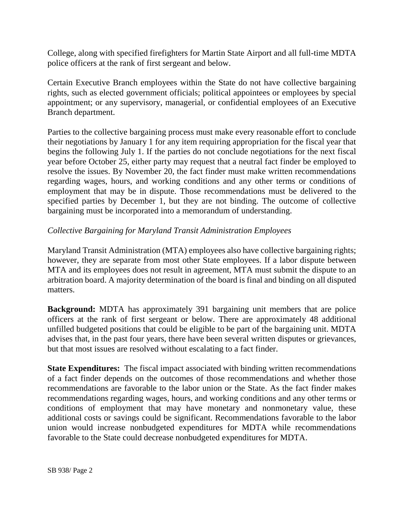College, along with specified firefighters for Martin State Airport and all full-time MDTA police officers at the rank of first sergeant and below.

Certain Executive Branch employees within the State do not have collective bargaining rights, such as elected government officials; political appointees or employees by special appointment; or any supervisory, managerial, or confidential employees of an Executive Branch department.

Parties to the collective bargaining process must make every reasonable effort to conclude their negotiations by January 1 for any item requiring appropriation for the fiscal year that begins the following July 1. If the parties do not conclude negotiations for the next fiscal year before October 25, either party may request that a neutral fact finder be employed to resolve the issues. By November 20, the fact finder must make written recommendations regarding wages, hours, and working conditions and any other terms or conditions of employment that may be in dispute. Those recommendations must be delivered to the specified parties by December 1, but they are not binding. The outcome of collective bargaining must be incorporated into a memorandum of understanding.

# *Collective Bargaining for Maryland Transit Administration Employees*

Maryland Transit Administration (MTA) employees also have collective bargaining rights; however, they are separate from most other State employees. If a labor dispute between MTA and its employees does not result in agreement, MTA must submit the dispute to an arbitration board. A majority determination of the board is final and binding on all disputed matters.

**Background:** MDTA has approximately 391 bargaining unit members that are police officers at the rank of first sergeant or below. There are approximately 48 additional unfilled budgeted positions that could be eligible to be part of the bargaining unit. MDTA advises that, in the past four years, there have been several written disputes or grievances, but that most issues are resolved without escalating to a fact finder.

**State Expenditures:** The fiscal impact associated with binding written recommendations of a fact finder depends on the outcomes of those recommendations and whether those recommendations are favorable to the labor union or the State. As the fact finder makes recommendations regarding wages, hours, and working conditions and any other terms or conditions of employment that may have monetary and nonmonetary value, these additional costs or savings could be significant. Recommendations favorable to the labor union would increase nonbudgeted expenditures for MDTA while recommendations favorable to the State could decrease nonbudgeted expenditures for MDTA.